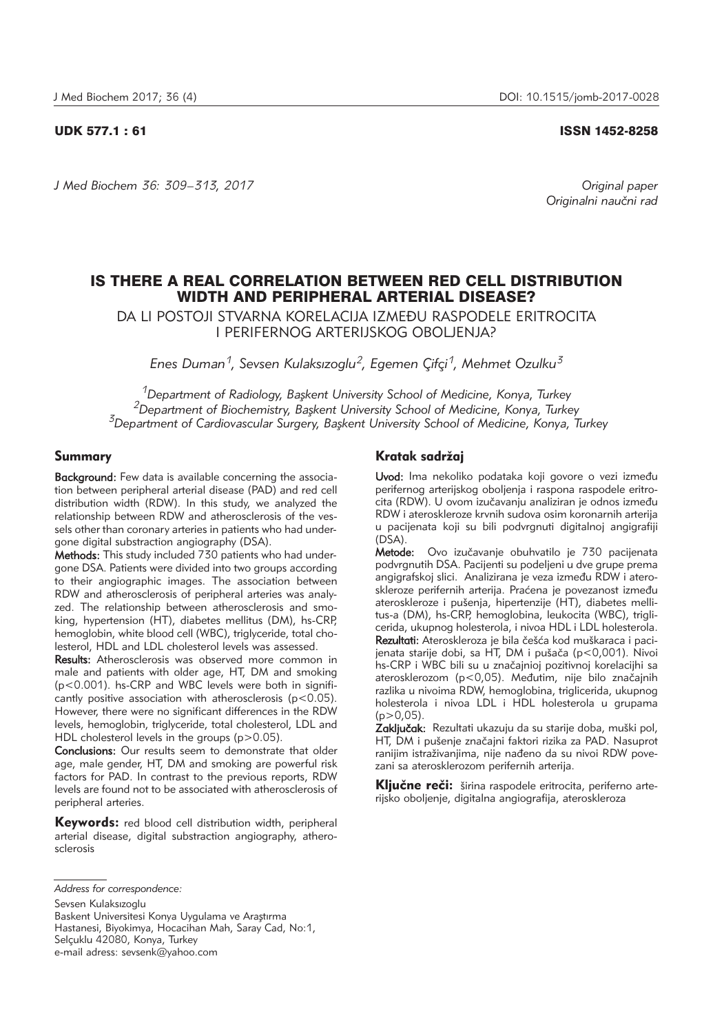*J Med Biochem 36: 309–313, 2017 Original paper*

UDK 577.1 : 61 ISSN 1452-8258

*Originalni nau~ni rad*

# IS THERE A REAL CORRELATION BETWEEN RED CELL DISTRIBUTION WIDTH AND PERIPHERAL ARTERIAL DISEASE?

DA LI POSTOJI STVARNA KORELACIJA IZME\U RASPODELE ERITROCITA I PERIFERNOG ARTERIJSKOG OBOLJENJA?

*Enes Duman1, Sevsen Kulaksızoglu2, Egemen Çifçi1, Mehmet Ozulku3*

<sup>1</sup>Department of Radiology, Başkent University School of Medicine, Konya, Turkey<br><sup>2</sup>Department of Biochemistry, Başkent University School of Medicine, Konya, Turkey<br><sup>3</sup>Department of Cardiovascular Surgery, Başkent Univers

## Summary

Background: Few data is available concerning the association between peripheral arterial disease (PAD) and red cell distribution width (RDW). In this study, we analyzed the relationship between RDW and atherosclerosis of the vessels other than coronary arteries in patients who had undergone digital substraction angiography (DSA).

Methods: This study included 730 patients who had undergone DSA. Patients were divided into two groups according to their angiographic images. The association between RDW and atherosclerosis of peripheral arteries was analyzed. The relationship between atherosclerosis and smoking, hypertension (HT), diabetes mellitus (DM), hs-CRP, hemoglobin, white blood cell (WBC), triglyceride, total cholesterol, HDL and LDL cholesterol levels was assessed.

Results: Atherosclerosis was observed more common in male and patients with older age, HT, DM and smoking (p<0.001). hs-CRP and WBC levels were both in significantly positive association with atherosclerosis ( $p$ <0.05). However, there were no significant differences in the RDW levels, hemoglobin, triglyceride, total cholesterol, LDL and HDL cholesterol levels in the groups (p>0.05).

Conclusions: Our results seem to demonstrate that older age, male gender, HT, DM and smoking are powerful risk factors for PAD. In contrast to the previous reports, RDW levels are found not to be associated with atherosclerosis of peripheral arteries.

Keywords: red blood cell distribution width, peripheral arterial disease, digital substraction angiography, atherosclerosis

Sevsen Kulaksızoglu

Baskent Universitesi Konya Uygulama ve Araştırma Hastanesi, Biyokimya, Hocacihan Mah, Saray Cad, No:1, Selçuklu 42080, Konya, Turkey e-mail adress: sevsenk@yahoo.com

## Kratak sadržaj

Uvod: Ima nekoliko podataka koji govore o vezi između perifernog arterijskog oboljenja i raspona raspodele eritrocita (RDW). U ovom izučavanju analiziran je odnos između RDW i ateroskleroze krvnih sudova osim koronarnih arterija u pacijenata koji su bili podvrgnuti digitalnoj angigrafiji (DSA).

Metode: Ovo izučavanje obuhvatilo je 730 pacijenata podvrgnutih DSA. Pacijenti su podeljeni u dve grupe prema angigrafskoj slici. Analizirana je veza između RDW i ateroskleroze perifernih arterija. Praćena je povezanost između ateroskleroze i pušenja, hipertenzije (HT), diabetes mellitus-a (DM), hs-CRP, hemoglobina, leukocita (WBC), triglicerida, ukupnog holesterola, i nivoa HDL i LDL holesterola. Rezultati: Ateroskleroza je bila češća kod muškaraca i pacijenata starije dobi, sa HT, DM i pušača (p<0,001). Nivoi hs-CRP i WBC bili su u značajnioj pozitivnoj korelacijhi sa aterosklerozom (p<0,05). Međutim, nije bilo značajnih razlika u nivoima RDW, hemoglobina, triglicerida, ukupnog holesterola i nivoa LDL i HDL holesterola u grupama  $(p>0.05)$ .

Zaključak: Rezultati ukazuju da su starije doba, muški pol, HT, DM i pušenje značajni faktori rizika za PAD. Nasuprot ranijim istraživanjima, nije nađeno da su nivoi RDW povezani sa aterosklerozom perifernih arterija.

Ključne reči: širina raspodele eritrocita, periferno arterijsko oboljenje, digitalna angiografija, ateroskleroza

*Address for correspondence:*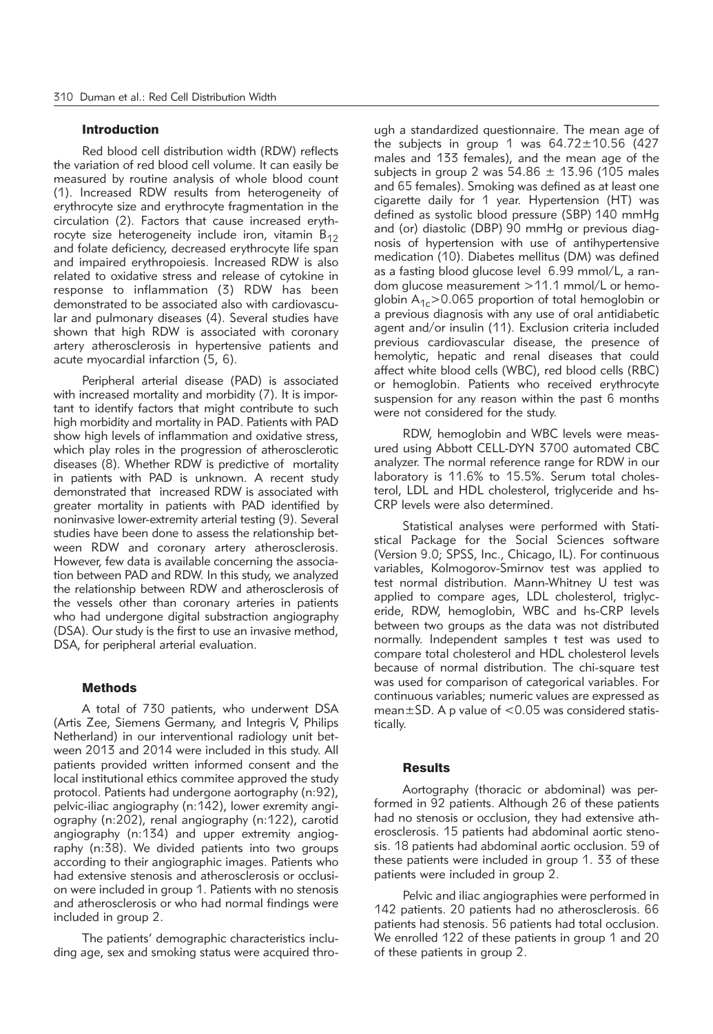#### Introduction

Red blood cell distribution width (RDW) reflects the variation of red blood cell volume. It can easily be measured by routine analysis of whole blood count (1). Increased RDW results from heterogeneity of erythrocyte size and erythrocyte fragmentation in the circulation (2). Factors that cause increased erythrocyte size heterogeneity include iron, vitamin  $B_{12}$ and folate deficiency, decreased erythrocyte life span and impaired erythropoiesis. Increased RDW is also related to oxidative stress and release of cytokine in response to inflammation (3) RDW has been demonstrated to be associated also with cardiovascular and pulmonary diseases (4). Several studies have shown that high RDW is associated with coronary artery atherosclerosis in hypertensive patients and acute myocardial infarction (5, 6).

Peripheral arterial disease (PAD) is associated with increased mortality and morbidity (7). It is important to identify factors that might contribute to such high morbidity and mortality in PAD. Patients with PAD show high levels of inflammation and oxidative stress, which play roles in the progression of atherosclerotic diseases (8). Whether RDW is predictive of mortality in patients with PAD is unknown. A recent study demonstrated that increased RDW is associated with greater mortality in patients with PAD identified by noninvasive lower-extremity arterial testing (9). Several studies have been done to assess the relationship between RDW and coronary artery atherosclerosis. However, few data is available concerning the association between PAD and RDW. In this study, we analyzed the relationship between RDW and atherosclerosis of the vessels other than coronary arteries in patients who had undergone digital substraction angiography (DSA). Our study is the first to use an invasive method, DSA, for peripheral arterial evaluation.

#### **Methods**

A total of 730 patients, who underwent DSA (Artis Zee, Siemens Germany, and Integris V, Philips Netherland) in our interventional radiology unit between 2013 and 2014 were included in this study. All patients provided written informed consent and the local institutional ethics commitee approved the study protocol. Patients had undergone aortography (n:92), pelvic-iliac angiography (n:142), lower exremity angiography (n:202), renal angiography (n:122), carotid angiography (n:134) and upper extremity angiography (n:38). We divided patients into two groups according to their angiographic images. Patients who had extensive stenosis and atherosclerosis or occlusion were included in group 1. Patients with no stenosis and atherosclerosis or who had normal findings were included in group 2.

The patients' demographic characteristics including age, sex and smoking status were acquired through a standardized questionnaire. The mean age of the subjects in group 1 was  $64.72 \pm 10.56$  (427 males and 133 females), and the mean age of the subjects in group 2 was  $54.86 \pm 13.96$  (105 males and 65 females). Smoking was defined as at least one cigarette daily for 1 year. Hypertension (HT) was defined as systolic blood pressure (SBP) 140 mmHg and (or) diastolic (DBP) 90 mmHg or previous diagnosis of hypertension with use of antihypertensive medication (10). Diabetes mellitus (DM) was defined as a fasting blood glucose level 6.99 mmol/L, a random glucose measurement >11.1 mmol/L or hemoglobin  $A_{1c}$  > 0.065 proportion of total hemoglobin or a previous diagnosis with any use of oral antidiabetic agent and/or insulin (11). Exclusion criteria included previous cardiovascular disease, the presence of hemolytic, hepatic and renal diseases that could affect white blood cells (WBC), red blood cells (RBC) or hemoglobin. Patients who received erythrocyte suspension for any reason within the past 6 months were not considered for the study.

RDW, hemoglobin and WBC levels were measured using Abbott CELL-DYN 3700 automated CBC analyzer. The normal reference range for RDW in our laboratory is 11.6% to 15.5%. Serum total cholesterol, LDL and HDL cholesterol, triglyceride and hs-CRP levels were also determined.

Statistical analyses were performed with Statistical Package for the Social Sciences software (Version 9.0; SPSS, Inc., Chicago, IL). For continuous variables, Kolmogorov-Smirnov test was applied to test normal distribution. Mann-Whitney U test was applied to compare ages, LDL cholesterol, triglyceride, RDW, hemoglobin, WBC and hs-CRP levels between two groups as the data was not distributed normally. Independent samples t test was used to compare total cholesterol and HDL cholesterol levels because of normal distribution. The chi-square test was used for comparison of categorical variables. For continuous variables; numeric values are expressed as mean $\pm$ SD. A p value of <0.05 was considered statistically.

### **Results**

Aortography (thoracic or abdominal) was performed in 92 patients. Although 26 of these patients had no stenosis or occlusion, they had extensive atherosclerosis. 15 patients had abdominal aortic stenosis. 18 patients had abdominal aortic occlusion. 59 of these patients were included in group 1. 33 of these patients were included in group 2.

Pelvic and iliac angiographies were performed in 142 patients. 20 patients had no atherosclerosis. 66 patients had stenosis. 56 patients had total occlusion. We enrolled 122 of these patients in group 1 and 20 of these patients in group 2.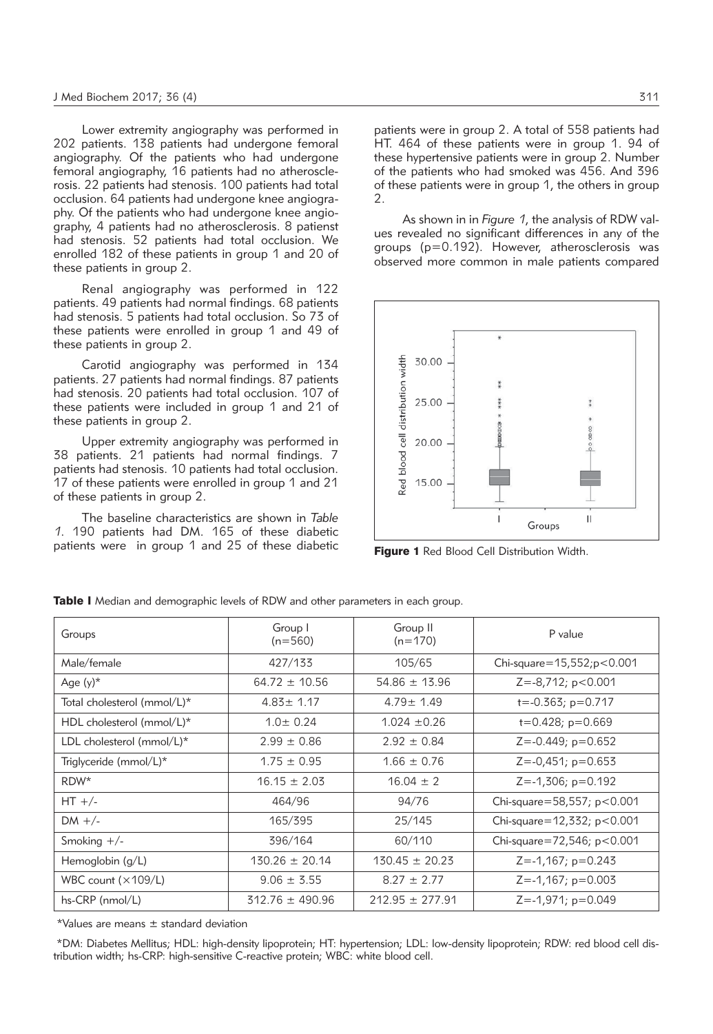Lower extremity angiography was performed in 202 patients. 138 patients had undergone femoral angiography. Of the patients who had undergone femoral angiography, 16 patients had no atherosclerosis. 22 patients had stenosis. 100 patients had total occlusion. 64 patients had undergone knee angiography. Of the patients who had undergone knee angiography, 4 patients had no atherosclerosis. 8 patienst had stenosis. 52 patients had total occlusion. We enrolled 182 of these patients in group 1 and 20 of these patients in group 2.

Renal angiography was performed in 122 patients. 49 patients had normal findings. 68 patients had stenosis. 5 patients had total occlusion. So 73 of these patients were enrolled in group 1 and 49 of these patients in group 2.

Carotid angiography was performed in 134 patients. 27 patients had normal findings. 87 patients had stenosis. 20 patients had total occlusion. 107 of these patients were included in group 1 and 21 of these patients in group 2.

Upper extremity angiography was performed in 38 patients. 21 patients had normal findings. 7 patients had stenosis. 10 patients had total occlusion. 17 of these patients were enrolled in group 1 and 21 of these patients in group 2.

The baseline characteristics are shown in *Table 1*. 190 patients had DM. 165 of these diabetic patients were in group 1 and 25 of these diabetic patients were in group 2. A total of 558 patients had HT. 464 of these patients were in group 1. 94 of these hypertensive patients were in group 2. Number of the patients who had smoked was 456. And 396 of these patients were in group 1, the others in group  $\mathcal{D}$ 

As shown in in *Figure 1*, the analysis of RDW values revealed no significant differences in any of the groups (p=0.192). However, atherosclerosis was observed more common in male patients compared



Figure 1 Red Blood Cell Distribution Width.

| Groups                                  | Group I<br>$(n=560)$ | Group II<br>$(n=170)$ | P value                        |
|-----------------------------------------|----------------------|-----------------------|--------------------------------|
| Male/female                             | 427/133              | 105/65                | Chi-square= $15,552$ ; p<0.001 |
| Age $(y)^*$                             | $64.72 \pm 10.56$    | $54.86 \pm 13.96$     | $Z = -8,712; p < 0.001$        |
| Total cholesterol (mmol/L)*             | $4.83 \pm 1.17$      | $4.79 \pm 1.49$       | $t = -0.363$ ; $p = 0.717$     |
| HDL cholesterol (mmol/L)*               | $1.0 \pm 0.24$       | $1.024 \pm 0.26$      | $t=0.428$ ; $p=0.669$          |
| LDL cholesterol ( $mmol/L$ <sup>*</sup> | $2.99 \pm 0.86$      | $2.92 \pm 0.84$       | $Z = -0.449$ ; $p = 0.652$     |
| Triglyceride (mmol/L)*                  | $1.75 \pm 0.95$      | $1.66 \pm 0.76$       | $Z = -0,451; p = 0.653$        |
| RDW*                                    | $16.15 \pm 2.03$     | $16.04 \pm 2$         | $Z = -1,306; p = 0.192$        |
| $HT +/-$                                | 464/96               | 94/76                 | Chi-square=58,557; $p < 0.001$ |
| DM $+/-$                                | 165/395              | 25/145                | Chi-square=12,332; $p < 0.001$ |
| Smoking $+/-$                           | 396/164              | 60/110                | Chi-square=72,546; $p < 0.001$ |
| Hemoglobin $(q/L)$                      | $130.26 \pm 20.14$   | $130.45 \pm 20.23$    | $Z = -1,167; p = 0.243$        |
| WBC count $(x109/L)$                    | $9.06 \pm 3.55$      | $8.27 \pm 2.77$       | $Z = -1,167; p = 0.003$        |
| $hs-CRP$ (nmol/L)                       | $312.76 \pm 490.96$  | $212.95 \pm 277.91$   | $Z = -1,971$ ; $p = 0.049$     |

Table I Median and demographic levels of RDW and other parameters in each group.

\*Values are means ± standard deviation

\*DM: Diabetes Mellitus; HDL: high-density lipoprotein; HT: hypertension; LDL: low-density lipoprotein; RDW: red blood cell distribution width; hs-CRP: high-sensitive C-reactive protein; WBC: white blood cell.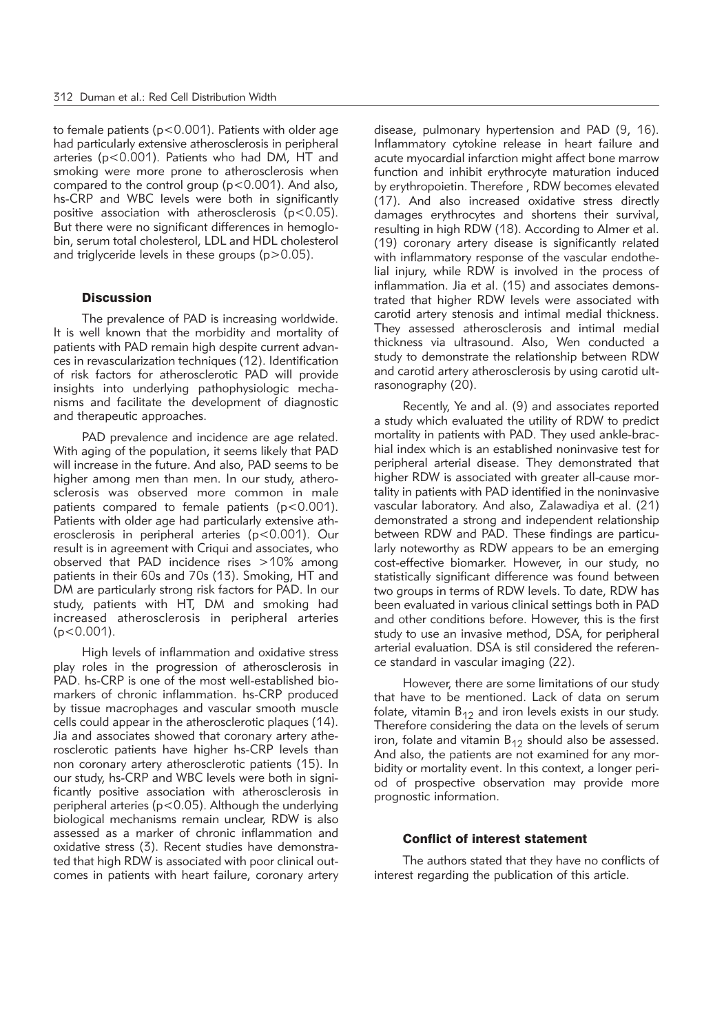to female patients (p<0.001). Patients with older age had particularly extensive atherosclerosis in peripheral arteries (p<0.001). Patients who had DM, HT and smoking were more prone to atherosclerosis when compared to the control group (p<0.001). And also, hs-CRP and WBC levels were both in significantly positive association with atherosclerosis ( $p < 0.05$ ). But there were no significant differences in hemoglobin, serum total cholesterol, LDL and HDL cholesterol and triglyceride levels in these groups (p>0.05).

#### **Discussion**

The prevalence of PAD is increasing worldwide. It is well known that the morbidity and mortality of patients with PAD remain high despite current advances in revascularization techniques (12). Identification of risk factors for atherosclerotic PAD will provide insights into underlying pathophysiologic mechanisms and facilitate the development of diagnostic and therapeutic approaches.

PAD prevalence and incidence are age related. With aging of the population, it seems likely that PAD will increase in the future. And also, PAD seems to be higher among men than men. In our study, atherosclerosis was observed more common in male patients compared to female patients (p<0.001). Patients with older age had particularly extensive atherosclerosis in peripheral arteries (p<0.001). Our result is in agreement with Criqui and associates, who observed that PAD incidence rises >10% among patients in their 60s and 70s (13). Smoking, HT and DM are particularly strong risk factors for PAD. In our study, patients with HT, DM and smoking had increased atherosclerosis in peripheral arteries (p<0.001).

High levels of inflammation and oxidative stress play roles in the progression of atherosclerosis in PAD. hs-CRP is one of the most well-established biomarkers of chronic inflammation. hs-CRP produced by tissue macrophages and vascular smooth muscle cells could appear in the atherosclerotic plaques (14). Jia and associates showed that coronary artery atherosclerotic patients have higher hs-CRP levels than non coronary artery atherosclerotic patients (15). In our study, hs-CRP and WBC levels were both in significantly positive association with atherosclerosis in peripheral arteries (p<0.05). Although the underlying biological mechanisms remain unclear, RDW is also assessed as a marker of chronic inflammation and oxidative stress (3). Recent studies have demonstrated that high RDW is associated with poor clinical outcomes in patients with heart failure, coronary artery disease, pulmonary hypertension and PAD (9, 16). Inflammatory cytokine release in heart failure and acute myocardial infarction might affect bone marrow function and inhibit erythrocyte maturation induced by erythropoietin. Therefore , RDW becomes elevated (17). And also increased oxidative stress directly damages erythrocytes and shortens their survival, resulting in high RDW (18). According to Almer et al. (19) coronary artery disease is significantly related with inflammatory response of the vascular endothelial injury, while RDW is involved in the process of inflammation. Jia et al. (15) and associates demonstrated that higher RDW levels were associated with carotid artery stenosis and intimal medial thickness. They assessed atherosclerosis and intimal medial thickness via ultrasound. Also, Wen conducted a study to demonstrate the relationship between RDW and carotid artery atherosclerosis by using carotid ultrasonography (20).

Recently, Ye and al. (9) and associates reported a study which evaluated the utility of RDW to predict mortality in patients with PAD. They used ankle-brachial index which is an established noninvasive test for peripheral arterial disease. They demonstrated that higher RDW is associated with greater all-cause mortality in patients with PAD identified in the noninvasive vascular laboratory. And also, Zalawadiya et al. (21) demonstrated a strong and independent relationship between RDW and PAD. These findings are particularly noteworthy as RDW appears to be an emerging cost-effective biomarker. However, in our study, no statistically significant difference was found between two groups in terms of RDW levels. To date, RDW has been evaluated in various clinical settings both in PAD and other conditions before. However, this is the first study to use an invasive method, DSA, for peripheral arterial evaluation. DSA is stil considered the reference standard in vascular imaging (22).

However, there are some limitations of our study that have to be mentioned. Lack of data on serum folate, vitamin  $B_{12}$  and iron levels exists in our study. Therefore considering the data on the levels of serum iron, folate and vitamin  $B_{12}$  should also be assessed. And also, the patients are not examined for any morbidity or mortality event. In this context, a longer period of prospective observation may provide more prognostic information.

#### Conflict of interest statement

The authors stated that they have no conflicts of interest regarding the publication of this article.